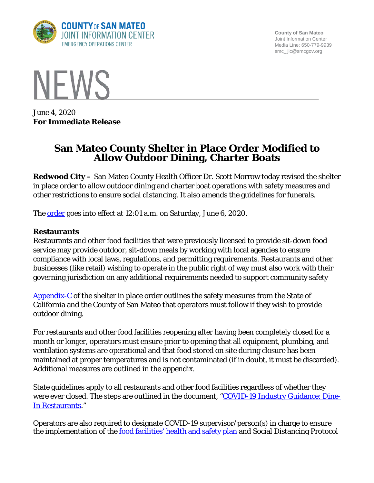

**County of San Mateo** Joint Information Center Media Line: 650-779-9939 smc\_ jic@smcgov.org



June 4, 2020 **For Immediate Release**

# **San Mateo County Shelter in Place Order Modified to Allow Outdoor Dining, Charter Boats**

**Redwood City –** San Mateo County Health Officer Dr. Scott Morrow today revised the shelter in place order to allow outdoor dining and charter boat operations with safety measures and other restrictions to ensure social distancing. It also amends the guidelines for funerals.

The **order** goes into effect at 12:01 a.m. on Saturday, June 6, 2020.

#### **Restaurants**

Restaurants and other food facilities that were previously licensed to provide sit-down food service may provide outdoor, sit-down meals by working with local agencies to ensure compliance with local laws, regulations, and permitting requirements. Restaurants and other businesses (like retail) wishing to operate in the public right of way must also work with their governing jurisdiction on any additional requirements needed to support community safety

[Appendix-C](https://www.smchealth.org/sites/main/files/file-attachments/ho_order_c19-5f_appendix_c-1_additional_businesses_permitted_to_operate_20200604.pdf?1591297300) of the shelter in place order outlines the safety measures from the State of California and the County of San Mateo that operators must follow if they wish to provide outdoor dining.

For restaurants and other food facilities reopening after having been completely closed for a month or longer, operators must ensure prior to opening that all equipment, plumbing, and ventilation systems are operational and that food stored on site during closure has been maintained at proper temperatures and is not contaminated (if in doubt, it must be discarded). Additional measures are outlined in the appendix.

State guidelines apply to all restaurants and other food facilities regardless of whether they were ever closed. The steps are outlined in the document, ["COVID-19 Industry Guidance: Dine-](https://covid19.ca.gov/pdf/guidance-dine-in-restaurants.pdf)[In Restaurants.](https://covid19.ca.gov/pdf/guidance-dine-in-restaurants.pdf)"

Operators are also required to designate COVID-19 supervisor/person(s) in charge to ensure the implementation of the **food facilities**' health and safety plan and Social Distancing Protocol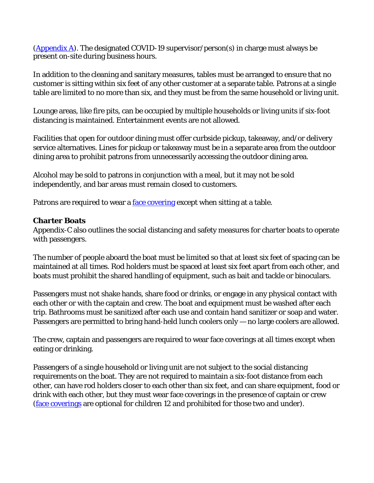[\(Appendix A\)](https://www.smchealth.org/sites/main/files/file-attachments/final_appendix_a_-_social_distancing_protocol_unlocked_0_0.pdf;). The designated COVID-19 supervisor/person(s) in charge must always be present on-site during business hours.

In addition to the cleaning and sanitary measures, tables must be arranged to ensure that no customer is sitting within six feet of any other customer at a separate table. Patrons at a single table are limited to no more than six, and they must be from the same household or living unit.

Lounge areas, like fire pits, can be occupied by multiple households or living units if six-foot distancing is maintained. Entertainment events are not allowed.

Facilities that open for outdoor dining must offer curbside pickup, takeaway, and/or delivery service alternatives. Lines for pickup or takeaway must be in a separate area from the outdoor dining area to prohibit patrons from unnecessarily accessing the outdoor dining area.

Alcohol may be sold to patrons in conjunction with a meal, but it may not be sold independently, and bar areas must remain closed to customers.

Patrons are required to wear a [face covering](https://www.smchealth.org/sites/main/files/file-attachments/ho_order_c19-8b_face_covering_revised_final.pdf?1589988744) except when sitting at a table.

## **Charter Boats**

Appendix-C also outlines the social distancing and safety measures for charter boats to operate with passengers.

The number of people aboard the boat must be limited so that at least six feet of spacing can be maintained at all times. Rod holders must be spaced at least six feet apart from each other, and boats must prohibit the shared handling of equipment, such as bait and tackle or binoculars.

Passengers must not shake hands, share food or drinks, or engage in any physical contact with each other or with the captain and crew. The boat and equipment must be washed after each trip. Bathrooms must be sanitized after each use and contain hand sanitizer or soap and water. Passengers are permitted to bring hand-held lunch coolers only — no large coolers are allowed.

The crew, captain and passengers are required to wear face coverings at all times except when eating or drinking.

Passengers of a single household or living unit are not subject to the social distancing requirements on the boat. They are not required to maintain a six-foot distance from each other, can have rod holders closer to each other than six feet, and can share equipment, food or drink with each other, but they must wear face coverings in the presence of captain or crew [\(face coverings](https://www.smchealth.org/sites/main/files/file-attachments/ho_order_c19-8b_face_covering_revised_final.pdf?1589988744) are optional for children 12 and prohibited for those two and under).